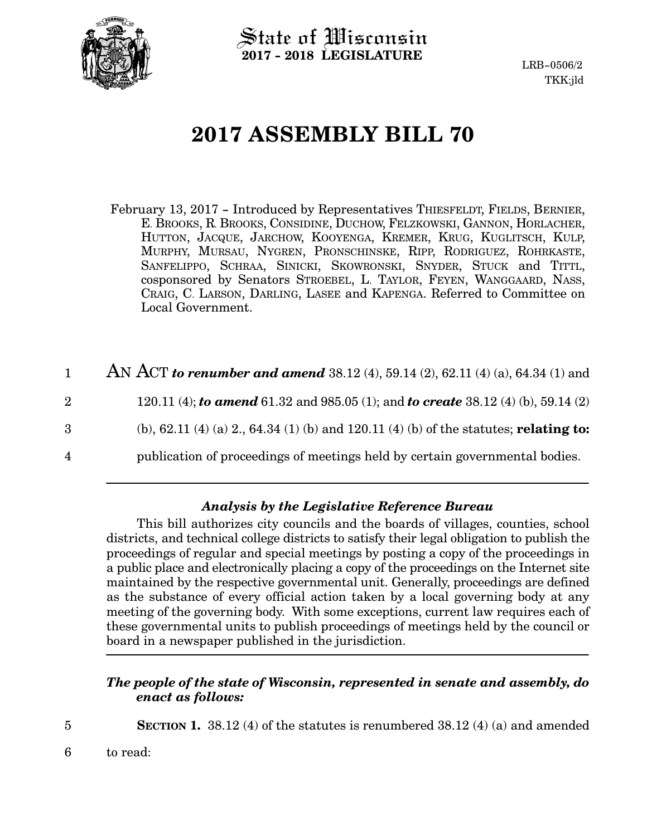

State of Wisconsin **2017 - 2018 LEGISLATURE**

LRB-0506/2 TKK:jld

# **2017 ASSEMBLY BILL 70**

- February 13, 2017 Introduced by Representatives THIESFELDT, FIELDS, BERNIER, E. BROOKS, R. BROOKS, CONSIDINE, DUCHOW, FELZKOWSKI, GANNON, HORLACHER, HUTTON, JACQUE, JARCHOW, KOOYENGA, KREMER, KRUG, KUGLITSCH, KULP, MURPHY, MURSAU, NYGREN, PRONSCHINSKE, RIPP, RODRIGUEZ, ROHRKASTE, SANFELIPPO, SCHRAA, SINICKI, SKOWRONSKI, SNYDER, STUCK and TITTL, cosponsored by Senators STROEBEL, L. TAYLOR, FEYEN, WANGGAARD, NASS, CRAIG, C. LARSON, DARLING, LASEE and KAPENGA. Referred to Committee on Local Government.
- AN ACT *to renumber and amend* 38.12 (4), 59.14 (2), 62.11 (4) (a), 64.34 (1) and 120.11 (4); *to amend* 61.32 and 985.05 (1); and *to create* 38.12 (4) (b), 59.14 (2) (b), 62.11 (4) (a) 2., 64.34 (1) (b) and 120.11 (4) (b) of the statutes; **relating to:** 1 2 3
- publication of proceedings of meetings held by certain governmental bodies. 4

### *Analysis by the Legislative Reference Bureau*

This bill authorizes city councils and the boards of villages, counties, school districts, and technical college districts to satisfy their legal obligation to publish the proceedings of regular and special meetings by posting a copy of the proceedings in a public place and electronically placing a copy of the proceedings on the Internet site maintained by the respective governmental unit. Generally, proceedings are defined as the substance of every official action taken by a local governing body at any meeting of the governing body. With some exceptions, current law requires each of these governmental units to publish proceedings of meetings held by the council or board in a newspaper published in the jurisdiction.

## *The people of the state of Wisconsin, represented in senate and assembly, do enact as follows:*

- 
- **SECTION 1.** 38.12 (4) of the statutes is renumbered 38.12 (4) (a) and amended
- to read: 6

5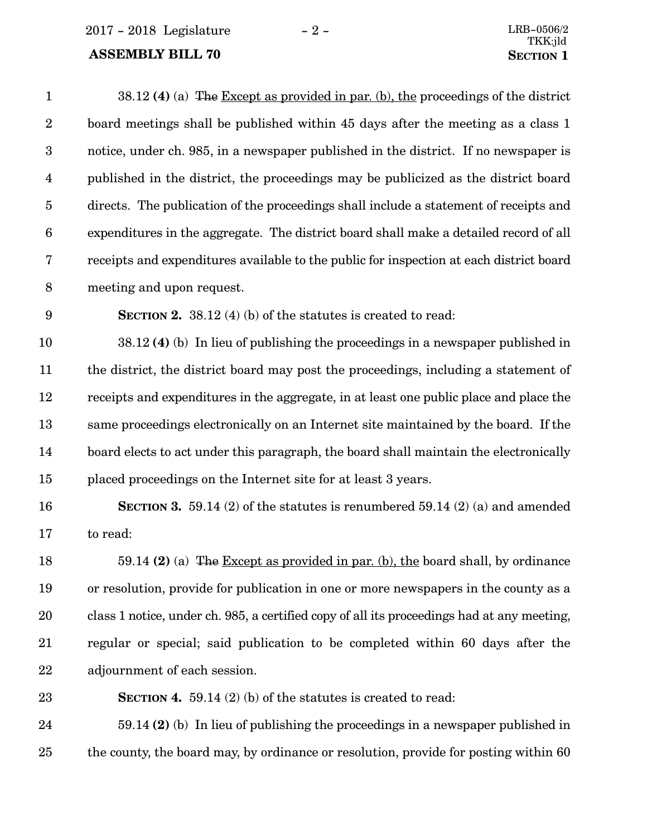$2017 - 2018$  Legislature  $-2 -$ 

# **ASSEMBLY BILL 70 SECTION** 1

| $\mathbf{1}$     | 38.12 (4) (a) The Except as provided in par. (b), the proceedings of the district          |
|------------------|--------------------------------------------------------------------------------------------|
| $\sqrt{2}$       | board meetings shall be published within 45 days after the meeting as a class 1            |
| $\boldsymbol{3}$ | notice, under ch. 985, in a newspaper published in the district. If no newspaper is        |
| $\overline{4}$   | published in the district, the proceedings may be publicized as the district board         |
| $\overline{5}$   | directs. The publication of the proceedings shall include a statement of receipts and      |
| $\boldsymbol{6}$ | expenditures in the aggregate. The district board shall make a detailed record of all      |
| 7                | receipts and expenditures available to the public for inspection at each district board    |
| $\, 8$           | meeting and upon request.                                                                  |
| 9                | <b>SECTION 2.</b> 38.12 (4) (b) of the statutes is created to read:                        |
| 10               | 38.12 (4) (b) In lieu of publishing the proceedings in a newspaper published in            |
| 11               | the district, the district board may post the proceedings, including a statement of        |
| 12               | receipts and expenditures in the aggregate, in at least one public place and place the     |
| 13               | same proceedings electronically on an Internet site maintained by the board. If the        |
| 14               | board elects to act under this paragraph, the board shall maintain the electronically      |
| 15               | placed proceedings on the Internet site for at least 3 years.                              |
| 16               | <b>SECTION 3.</b> 59.14 (2) of the statutes is renumbered 59.14 (2) (a) and amended        |
| 17               | to read:                                                                                   |
| 18               | 59.14 (2) (a) The Except as provided in par. (b), the board shall, by ordinance            |
| 19               | or resolution, provide for publication in one or more newspapers in the county as a        |
| 20               | class 1 notice, under ch. 985, a certified copy of all its proceedings had at any meeting, |
| 21               | regular or special; said publication to be completed within 60 days after the              |
| 22               | adjournment of each session.                                                               |
| 23               | <b>SECTION 4.</b> 59.14 (2) (b) of the statutes is created to read:                        |
| 24               | $59.14$ (2) (b) In lieu of publishing the proceedings in a newspaper published in          |
| 25               | the county, the board may, by ordinance or resolution, provide for posting within 60       |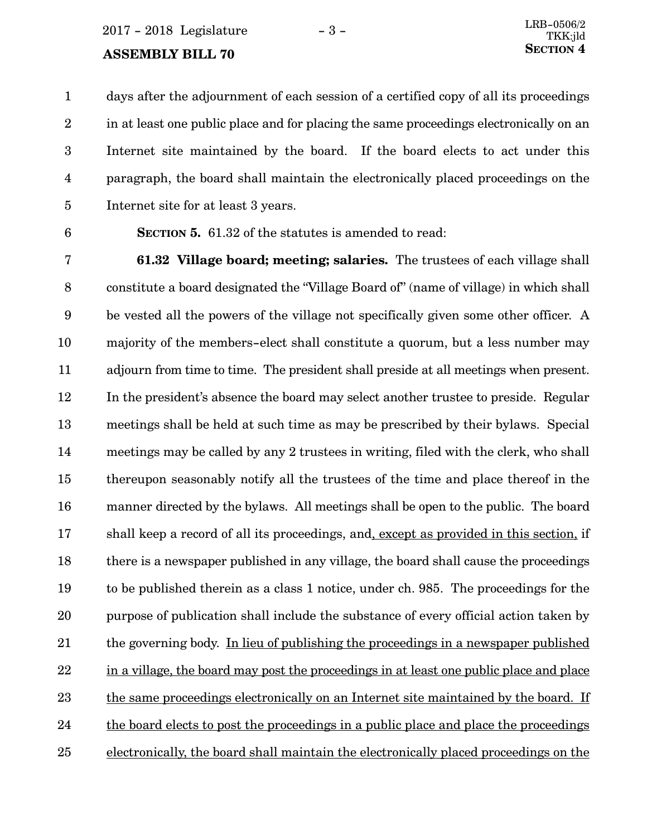$2017 - 2018$  Legislature  $-3 -$ 

#### **ASSEMBLY BILL 70**

days after the adjournment of each session of a certified copy of all its proceedings in at least one public place and for placing the same proceedings electronically on an Internet site maintained by the board. If the board elects to act under this paragraph, the board shall maintain the electronically placed proceedings on the Internet site for at least 3 years. 1 2 3 4 5

6

**SECTION 5.** 61.32 of the statutes is amended to read:

**61.32 Village board; meeting; salaries.** The trustees of each village shall constitute a board designated the "Village Board of" (name of village) in which shall be vested all the powers of the village not specifically given some other officer. A majority of the members-elect shall constitute a quorum, but a less number may adjourn from time to time. The president shall preside at all meetings when present. In the president's absence the board may select another trustee to preside. Regular meetings shall be held at such time as may be prescribed by their bylaws. Special meetings may be called by any 2 trustees in writing, filed with the clerk, who shall thereupon seasonably notify all the trustees of the time and place thereof in the manner directed by the bylaws. All meetings shall be open to the public. The board shall keep a record of all its proceedings, and, except as provided in this section, if there is a newspaper published in any village, the board shall cause the proceedings to be published therein as a class 1 notice, under ch. 985. The proceedings for the purpose of publication shall include the substance of every official action taken by the governing body. In lieu of publishing the proceedings in a newspaper published in a village, the board may post the proceedings in at least one public place and place the same proceedings electronically on an Internet site maintained by the board. If the board elects to post the proceedings in a public place and place the proceedings electronically, the board shall maintain the electronically placed proceedings on the 7 8 9 10 11 12 13 14 15 16 17 18 19 20 21 22 23 24 25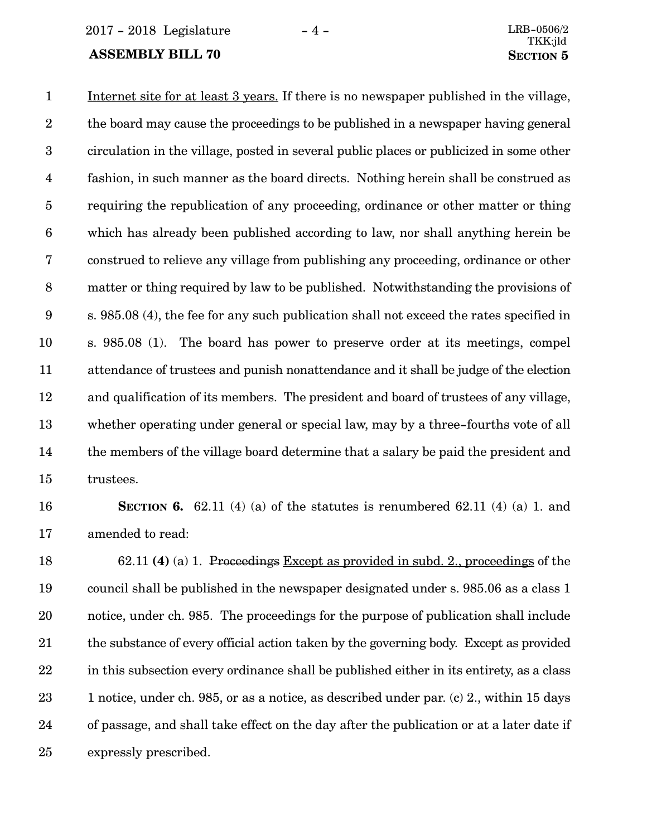2017 - 2018 Legislature - 4 - LRB-0506/2

#### **ASSEMBLY BILL 70 SECTION 5**

Internet site for at least 3 years. If there is no newspaper published in the village, the board may cause the proceedings to be published in a newspaper having general circulation in the village, posted in several public places or publicized in some other fashion, in such manner as the board directs. Nothing herein shall be construed as requiring the republication of any proceeding, ordinance or other matter or thing which has already been published according to law, nor shall anything herein be construed to relieve any village from publishing any proceeding, ordinance or other matter or thing required by law to be published. Notwithstanding the provisions of s. 985.08 (4), the fee for any such publication shall not exceed the rates specified in s. 985.08 (1). The board has power to preserve order at its meetings, compel attendance of trustees and punish nonattendance and it shall be judge of the election and qualification of its members. The president and board of trustees of any village, whether operating under general or special law, may by a three-fourths vote of all the members of the village board determine that a salary be paid the president and trustees. 1 2 3 4 5 6 7 8 9 10 11 12 13 14 15

#### 16

17

**SECTION 6.** 62.11 (4) (a) of the statutes is renumbered 62.11 (4) (a) 1. and amended to read:

62.11 **(4)** (a) 1. Proceedings Except as provided in subd. 2., proceedings of the council shall be published in the newspaper designated under s. 985.06 as a class 1 notice, under ch. 985. The proceedings for the purpose of publication shall include the substance of every official action taken by the governing body. Except as provided in this subsection every ordinance shall be published either in its entirety, as a class 1 notice, under ch. 985, or as a notice, as described under par. (c) 2., within 15 days of passage, and shall take effect on the day after the publication or at a later date if expressly prescribed. 18 19 20 21 22 23 24 25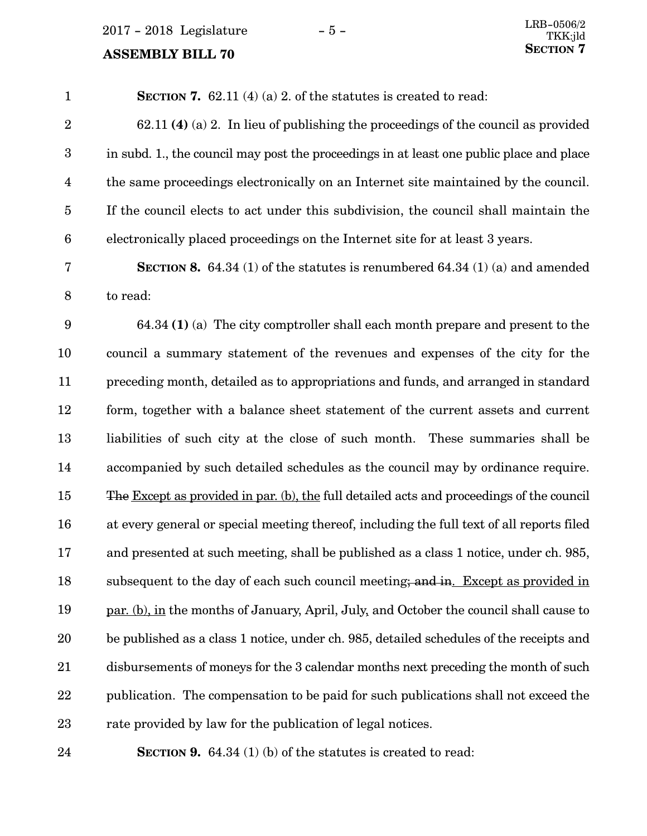2017 - 2018 Legislature - 5 -

# **ASSEMBLY BILL 70**

| $\mathbf{1}$            | <b>SECTION 7.</b> 62.11 (4) (a) 2. of the statutes is created to read:                    |
|-------------------------|-------------------------------------------------------------------------------------------|
| $\sqrt{2}$              | $62.11$ (4) (a) 2. In lieu of publishing the proceedings of the council as provided       |
| $\boldsymbol{3}$        | in subd. 1., the council may post the proceedings in at least one public place and place  |
| $\overline{\mathbf{4}}$ | the same proceedings electronically on an Internet site maintained by the council.        |
| $\overline{5}$          | If the council elects to act under this subdivision, the council shall maintain the       |
| $6\phantom{.}6$         | electronically placed proceedings on the Internet site for at least 3 years.              |
| 7                       | <b>SECTION 8.</b> 64.34 (1) of the statutes is renumbered 64.34 (1) (a) and amended       |
| $\,8\,$                 | to read:                                                                                  |
| $\boldsymbol{9}$        | $64.34$ (1) (a) The city comptroller shall each month prepare and present to the          |
| 10                      | council a summary statement of the revenues and expenses of the city for the              |
| 11                      | preceding month, detailed as to appropriations and funds, and arranged in standard        |
| 12                      | form, together with a balance sheet statement of the current assets and current           |
| 13                      | liabilities of such city at the close of such month. These summaries shall be             |
| 14                      | accompanied by such detailed schedules as the council may by ordinance require.           |
| 15                      | The Except as provided in par. (b), the full detailed acts and proceedings of the council |
| 16                      | at every general or special meeting thereof, including the full text of all reports filed |
| 17                      | and presented at such meeting, shall be published as a class 1 notice, under ch. 985,     |
| 18                      | subsequent to the day of each such council meeting; and in. Except as provided in         |
| 19                      | par. (b), in the months of January, April, July, and October the council shall cause to   |
| 20                      | be published as a class 1 notice, under ch. 985, detailed schedules of the receipts and   |
| 21                      | disbursements of moneys for the 3 calendar months next preceding the month of such        |
| 22                      | publication. The compensation to be paid for such publications shall not exceed the       |
| 23                      | rate provided by law for the publication of legal notices.                                |

**SECTION 9.** 64.34 (1) (b) of the statutes is created to read:

24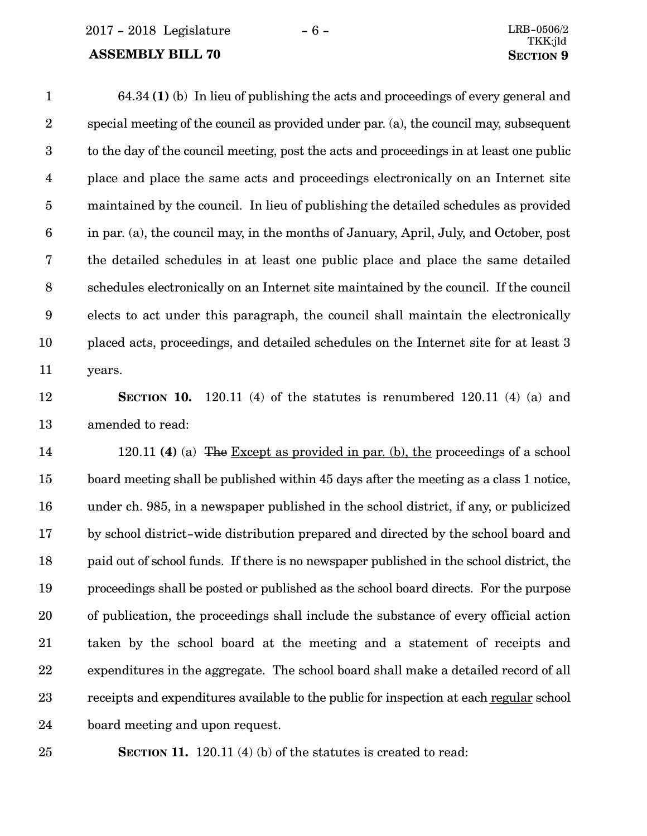2017 - 2018 Legislature - 6 - LRB-0506/2

#### **ASSEMBLY BILL 70 SECTION** 9

64.34 **(1)** (b) In lieu of publishing the acts and proceedings of every general and special meeting of the council as provided under par. (a), the council may, subsequent to the day of the council meeting, post the acts and proceedings in at least one public place and place the same acts and proceedings electronically on an Internet site maintained by the council. In lieu of publishing the detailed schedules as provided in par. (a), the council may, in the months of January, April, July, and October, post the detailed schedules in at least one public place and place the same detailed schedules electronically on an Internet site maintained by the council. If the council elects to act under this paragraph, the council shall maintain the electronically placed acts, proceedings, and detailed schedules on the Internet site for at least 3 years. 1 2 3 4 5 6 7 8 9 10 11

#### 12

13

**SECTION** 10. 120.11 (4) of the statutes is renumbered 120.11 (4) (a) and amended to read:

120.11 **(4)** (a) The Except as provided in par. (b), the proceedings of a school board meeting shall be published within 45 days after the meeting as a class 1 notice, under ch. 985, in a newspaper published in the school district, if any, or publicized by school district-wide distribution prepared and directed by the school board and paid out of school funds. If there is no newspaper published in the school district, the proceedings shall be posted or published as the school board directs. For the purpose of publication, the proceedings shall include the substance of every official action taken by the school board at the meeting and a statement of receipts and expenditures in the aggregate. The school board shall make a detailed record of all receipts and expenditures available to the public for inspection at each regular school board meeting and upon request. 14 15 16 17 18 19 20 21 22 23 24

25

**SECTION 11.** 120.11 (4) (b) of the statutes is created to read: